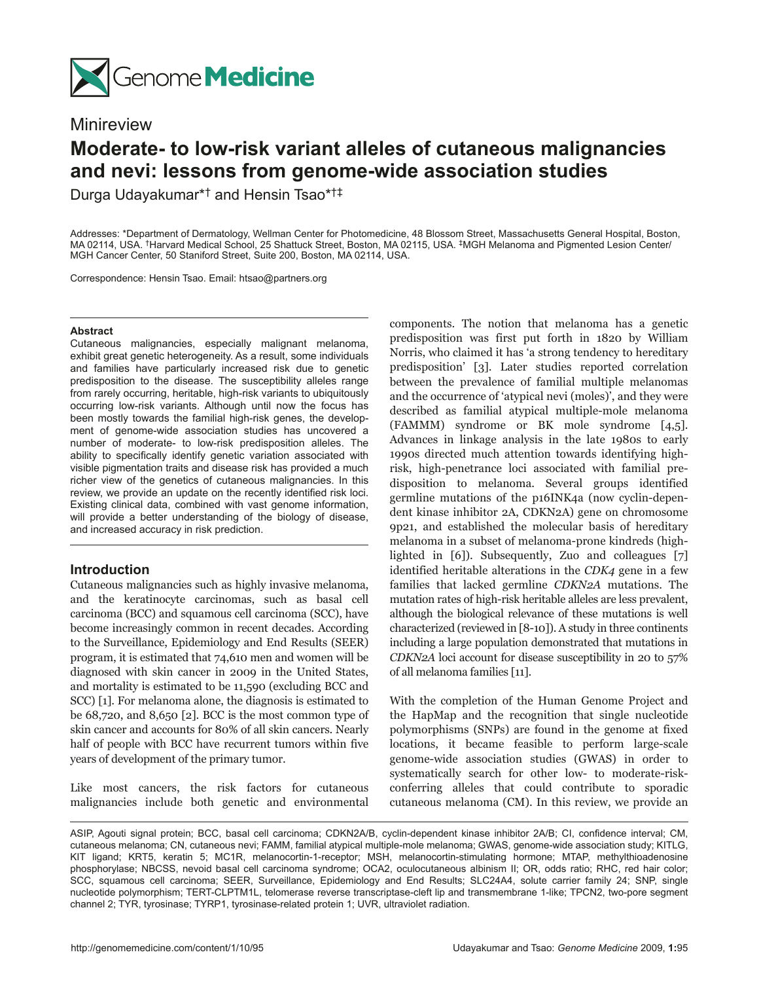

# Minireview

# **Moderate- to low-risk variant alleles of cutaneous malignancies and nevi: lessons from genome-wide association studies**

Durga Udayakumar\*† and Hensin Tsao\*†‡

Addresses: \*Department of Dermatology, Wellman Center for Photomedicine, 48 Blossom Street, Massachusetts General Hospital, Boston, MA 02114, USA. †Harvard Medical School, 25 Shattuck Street, Boston, MA 02115, USA. ‡MGH Melanoma and Pigmented Lesion Center/ MGH Cancer Center, 50 Staniford Street, Suite 200, Boston, MA 02114, USA.

Correspondence: Hensin Tsao. Email: htsao@partners.org

## **Abstract**

Cutaneous malignancies, especially malignant melanoma, exhibit great genetic heterogeneity. As a result, some individuals and families have particularly increased risk due to genetic predisposition to the disease. The susceptibility alleles range from rarely occurring, heritable, high-risk variants to ubiquitously occurring low-risk variants. Although until now the focus has been mostly towards the familial high-risk genes, the development of genome-wide association studies has uncovered a number of moderate- to low-risk predisposition alleles. The ability to specifically identify genetic variation associated with visible pigmentation traits and disease risk has provided a much richer view of the genetics of cutaneous malignancies. In this review, we provide an update on the recently identified risk loci. Existing clinical data, combined with vast genome information, will provide a better understanding of the biology of disease, and increased accuracy in risk prediction.

# **Introduction**

Cutaneous malignancies such as highly invasive melanoma, and the keratinocyte carcinomas, such as basal cell carcinoma (BCC) and squamous cell carcinoma (SCC), have become increasingly common in recent decades. According to the Surveillance, Epidemiology and End Results (SEER) program, it is estimated that 74,610 men and women will be diagnosed with skin cancer in 2009 in the United States, and mortality is estimated to be 11,590 (excluding BCC and SCC) [1]. For melanoma alone, the diagnosis is estimated to be 68,720, and 8,650 [2]. BCC is the most common type of skin cancer and accounts for 80% of all skin cancers. Nearly half of people with BCC have recurrent tumors within five years of development of the primary tumor.

Like most cancers, the risk factors for cutaneous malignancies include both genetic and environmental

components. The notion that melanoma has a genetic predisposition was first put forth in 1820 by William Norris, who claimed it has 'a strong tendency to hereditary predisposition' [3]. Later studies reported correlation between the prevalence of familial multiple melanomas and the occurrence of 'atypical nevi (moles)', and they were described as familial atypical multiple-mole melanoma (FAMMM) syndrome or BK mole syndrome [4,5]. Advances in linkage analysis in the late 1980s to early 1990s directed much attention towards identifying highrisk, high-penetrance loci associated with familial predisposition to melanoma. Several groups identified germline mutations of the p16INK4a (now cyclin-dependent kinase inhibitor 2A, CDKN2A) gene on chromosome 9p21, and established the molecular basis of hereditary melanoma in a subset of melanoma-prone kindreds (highlighted in [6]). Subsequently, Zuo and colleagues [7] identified heritable alterations in the *CDK4* gene in a few families that lacked germline *CDKN2A* mutations. The mutation rates of high-risk heritable alleles are less prevalent, although the biological relevance of these mutations is well characterized (reviewed in [8-10]). A study in three continents including a large population demonstrated that mutations in *CDKN2A* loci account for disease susceptibility in 20 to 57% of all melanoma families [11].

With the completion of the Human Genome Project and the HapMap and the recognition that single nucleotide polymorphisms (SNPs) are found in the genome at fixed locations, it became feasible to perform large-scale genome-wide association studies (GWAS) in order to systematically search for other low- to moderate-riskconferring alleles that could contribute to sporadic cutaneous melanoma (CM). In this review, we provide an

ASIP, Agouti signal protein; BCC, basal cell carcinoma; CDKN2A/B, cyclin-dependent kinase inhibitor 2A/B; CI, confidence interval; CM, cutaneous melanoma; CN, cutaneous nevi; FAMM, familial atypical multiple-mole melanoma; GWAS, genome-wide association study; KITLG, KIT ligand; KRT5, keratin 5; MC1R, melanocortin-1-receptor; MSH, melanocortin-stimulating hormone; MTAP, methylthioadenosine phosphorylase; NBCSS, nevoid basal cell carcinoma syndrome; OCA2, oculocutaneous albinism II; OR, odds ratio; RHC, red hair color; SCC, squamous cell carcinoma; SEER, Surveillance, Epidemiology and End Results; SLC24A4, solute carrier family 24; SNP, single nucleotide polymorphism; TERT-CLPTM1L, telomerase reverse transcriptase-cleft lip and transmembrane 1-like; TPCN2, two-pore segment channel 2; TYR, tyrosinase; TYRP1, tyrosinase-related protein 1; UVR, ultraviolet radiation.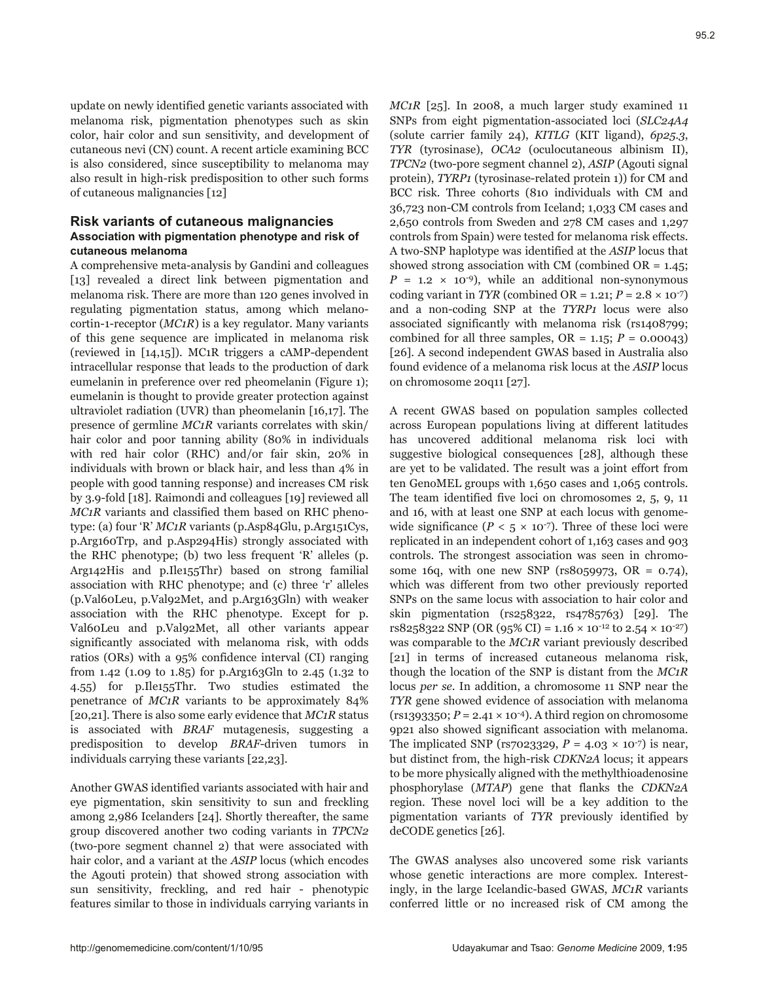update on newly identified genetic variants associated with melanoma risk, pigmentation phenotypes such as skin color, hair color and sun sensitivity, and development of cutaneous nevi (CN) count. A recent article examining BCC is also considered, since susceptibility to melanoma may also result in high-risk predisposition to other such forms of cutaneous malignancies [12]

# **Risk variants of cutaneous malignancies Association with pigmentation phenotype and risk of cutaneous melanoma**

A comprehensive meta-analysis by Gandini and colleagues [13] revealed a direct link between pigmentation and melanoma risk. There are more than 120 genes involved in regulating pigmentation status, among which melanocortin-1-receptor (*MC1R*) is a key regulator. Many variants of this gene sequence are implicated in melanoma risk (reviewed in [14,15]). MC1R triggers a cAMP-dependent intracellular response that leads to the production of dark eumelanin in preference over red pheomelanin (Figure 1); eumelanin is thought to provide greater protection against ultraviolet radiation (UVR) than pheomelanin [16,17]. The presence of germline *MC1R* variants correlates with skin/ hair color and poor tanning ability (80% in individuals with red hair color (RHC) and/or fair skin, 20% in individuals with brown or black hair, and less than 4% in people with good tanning response) and increases CM risk by 3.9-fold [18]. Raimondi and colleagues [19] reviewed all *MC1R* variants and classified them based on RHC phenotype: (a) four 'R' *MC1R* variants (p.Asp84Glu, p.Arg151Cys, p.Arg160Trp, and p.Asp294His) strongly associated with the RHC phenotype; (b) two less frequent 'R' alleles (p. Arg142His and p.Ile155Thr) based on strong familial association with RHC phenotype; and (c) three 'r' alleles (p.Val60Leu, p.Val92Met, and p.Arg163Gln) with weaker association with the RHC phenotype. Except for p. Val60Leu and p.Val92Met, all other variants appear significantly associated with melanoma risk, with odds ratios (ORs) with a 95% confidence interval (CI) ranging from 1.42 (1.09 to 1.85) for p.Arg163Gln to 2.45 (1.32 to 4.55) for p.Ile155Thr. Two studies estimated the penetrance of *MC1R* variants to be approximately 84% [20,21]. There is also some early evidence that *MC1R* status is associated with *BRAF* mutagenesis, suggesting a predisposition to develop *BRAF*-driven tumors in individuals carrying these variants [22,23].

Another GWAS identified variants associated with hair and eye pigmentation, skin sensitivity to sun and freckling among 2,986 Icelanders [24]. Shortly thereafter, the same group discovered another two coding variants in *TPCN2* (two-pore segment channel 2) that were associated with hair color, and a variant at the *ASIP* locus (which encodes the Agouti protein) that showed strong association with sun sensitivity, freckling, and red hair - phenotypic features similar to those in individuals carrying variants in

*MC1R* [25]. In 2008, a much larger study examined 11 SNPs from eight pigmentation-associated loci (*SLC24A4*  (solute carrier family 24), *KITLG* (KIT ligand), *6p25.3*, *TYR* (tyrosinase), *OCA2* (oculocutaneous albinism II), *TPCN2* (two-pore segment channel 2), *ASIP* (Agouti signal protein), *TYRP1* (tyrosinase-related protein 1)) for CM and BCC risk. Three cohorts (810 individuals with CM and 36,723 non-CM controls from Iceland; 1,033 CM cases and 2,650 controls from Sweden and 278 CM cases and 1,297 controls from Spain) were tested for melanoma risk effects. A two-SNP haplotype was identified at the *ASIP* locus that showed strong association with CM (combined  $OR = 1.45$ ;  $P = 1.2 \times 10^{-9}$ , while an additional non-synonymous coding variant in *TYR* (combined OR = 1.21;  $P = 2.8 \times 10^{-7}$ ) and a non-coding SNP at the *TYRP1* locus were also associated significantly with melanoma risk (rs1408799; combined for all three samples,  $OR = 1.15$ ;  $P = 0.00043$ ) [26]. A second independent GWAS based in Australia also found evidence of a melanoma risk locus at the *ASIP* locus on chromosome 20q11 [27].

A recent GWAS based on population samples collected across European populations living at different latitudes has uncovered additional melanoma risk loci with suggestive biological consequences [28], although these are yet to be validated. The result was a joint effort from ten GenoMEL groups with 1,650 cases and 1,065 controls. The team identified five loci on chromosomes 2, 5, 9, 11 and 16, with at least one SNP at each locus with genomewide significance ( $P < 5 \times 10^{-7}$ ). Three of these loci were replicated in an independent cohort of 1,163 cases and 903 controls. The strongest association was seen in chromosome 16q, with one new SNP (rs8059973, OR = 0.74), which was different from two other previously reported SNPs on the same locus with association to hair color and skin pigmentation (rs258322, rs4785763) [29]. The rs8258322 SNP (OR (95% CI) = 1.16  $\times$  10<sup>-12</sup> to 2.54  $\times$  10<sup>-27</sup>) was comparable to the *MC1R* variant previously described [21] in terms of increased cutaneous melanoma risk, though the location of the SNP is distant from the *MC1R* locus *per se*. In addition, a chromosome 11 SNP near the *TYR* gene showed evidence of association with melanoma  $(rs1393350; P = 2.41 \times 10^{-4})$ . A third region on chromosome 9p21 also showed significant association with melanoma. The implicated SNP (rs7023329,  $P = 4.03 \times 10^{-7}$ ) is near, but distinct from, the high-risk *CDKN2A* locus; it appears to be more physically aligned with the methylthioadenosine phosphorylase (*MTAP*) gene that flanks the *CDKN2A* region. These novel loci will be a key addition to the pigmentation variants of *TYR* previously identified by deCODE genetics [26].

The GWAS analyses also uncovered some risk variants whose genetic interactions are more complex. Interestingly, in the large Icelandic-based GWAS, *MC1R* variants conferred little or no increased risk of CM among the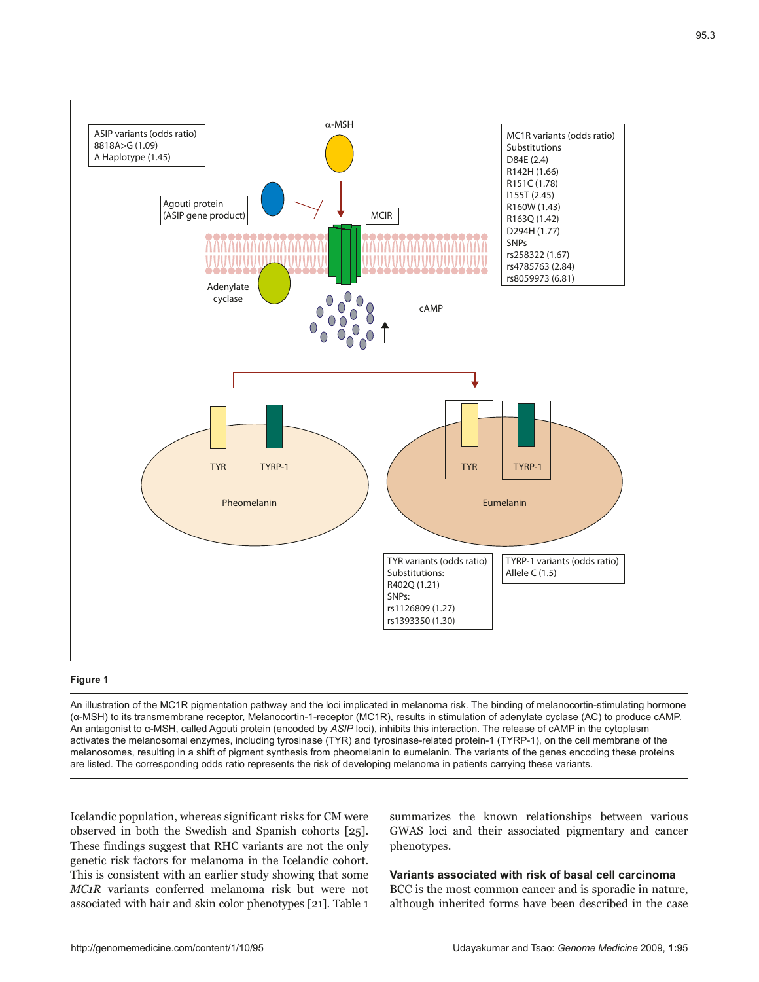

### **Figure 1**

An illustration of the MC1R pigmentation pathway and the loci implicated in melanoma risk. The binding of melanocortin-stimulating hormone (α-MSH) to its transmembrane receptor, Melanocortin-1-receptor (MC1R), results in stimulation of adenylate cyclase (AC) to produce cAMP. An antagonist to α-MSH, called Agouti protein (encoded by *ASIP* loci), inhibits this interaction. The release of cAMP in the cytoplasm activates the melanosomal enzymes, including tyrosinase (TYR) and tyrosinase-related protein-1 (TYRP-1), on the cell membrane of the melanosomes, resulting in a shift of pigment synthesis from pheomelanin to eumelanin. The variants of the genes encoding these proteins are listed. The corresponding odds ratio represents the risk of developing melanoma in patients carrying these variants.

Icelandic population, whereas significant risks for CM were observed in both the Swedish and Spanish cohorts [25]. These findings suggest that RHC variants are not the only genetic risk factors for melanoma in the Icelandic cohort. This is consistent with an earlier study showing that some *MC1R* variants conferred melanoma risk but were not associated with hair and skin color phenotypes [21]. Table 1

summarizes the known relationships between various GWAS loci and their associated pigmentary and cancer phenotypes.

## **Variants associated with risk of basal cell carcinoma**

BCC is the most common cancer and is sporadic in nature, although inherited forms have been described in the case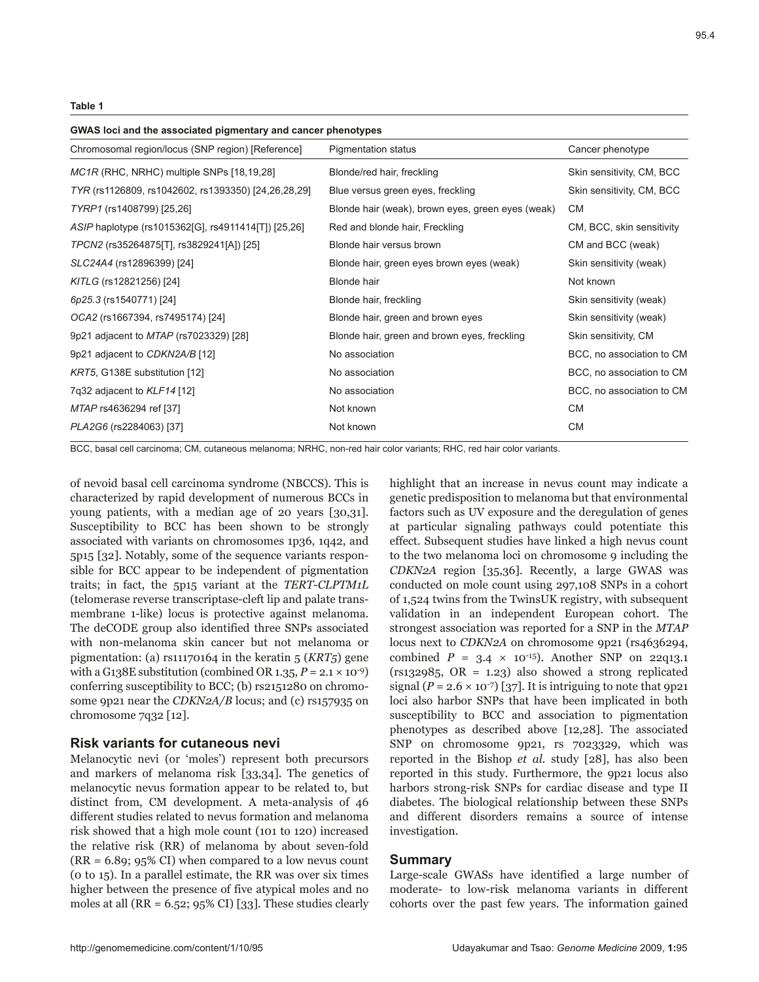#### **GWAS loci and the associated pigmentary and cancer phenotypes**

| Chromosomal region/locus (SNP region) [Reference]   | Pigmentation status                               | Cancer phenotype          |
|-----------------------------------------------------|---------------------------------------------------|---------------------------|
| MC1R (RHC, NRHC) multiple SNPs [18,19,28]           | Blonde/red hair, freckling                        | Skin sensitivity, CM, BCC |
| TYR (rs1126809, rs1042602, rs1393350) [24,26,28,29] | Blue versus green eyes, freckling                 | Skin sensitivity, CM, BCC |
| TYRP1 (rs1408799) [25,26]                           | Blonde hair (weak), brown eyes, green eyes (weak) | <b>CM</b>                 |
| ASIP haplotype (rs1015362[G], rs4911414[T]) [25,26] | Red and blonde hair, Freckling                    | CM, BCC, skin sensitivity |
| TPCN2 (rs35264875[T], rs3829241[A]) [25]            | Blonde hair versus brown                          | CM and BCC (weak)         |
| SLC24A4 (rs12896399) [24]                           | Blonde hair, green eyes brown eyes (weak)         | Skin sensitivity (weak)   |
| KITLG (rs12821256) [24]                             | Blonde hair                                       | Not known                 |
| 6p25.3 (rs1540771) [24]                             | Blonde hair, freckling                            | Skin sensitivity (weak)   |
| OCA2 (rs1667394, rs7495174) [24]                    | Blonde hair, green and brown eyes                 | Skin sensitivity (weak)   |
| 9p21 adjacent to <i>MTAP</i> (rs7023329) [28]       | Blonde hair, green and brown eyes, freckling      | Skin sensitivity, CM      |
| 9p21 adjacent to CDKN2A/B [12]                      | No association                                    | BCC, no association to CM |
| KRT5, G138E substitution [12]                       | No association                                    | BCC, no association to CM |
| 7q32 adjacent to KLF14 [12]                         | No association                                    | BCC, no association to CM |
| MTAP rs4636294 ref [37]                             | Not known                                         | <b>CM</b>                 |
| PLA2G6 (rs2284063) [37]                             | Not known                                         | <b>CM</b>                 |
|                                                     |                                                   |                           |

BCC, basal cell carcinoma; CM, cutaneous melanoma; NRHC, non-red hair color variants; RHC, red hair color variants.

of nevoid basal cell carcinoma syndrome (NBCCS). This is characterized by rapid development of numerous BCCs in young patients, with a median age of 20 years [30,31]. Susceptibility to BCC has been shown to be strongly associated with variants on chromosomes 1p36, 1q42, and 5p15 [32]. Notably, some of the sequence variants responsible for BCC appear to be independent of pigmentation traits; in fact, the 5p15 variant at the *TERT*-*CLPTM1L* (telomerase reverse transcriptase-cleft lip and palate transmembrane 1-like) locus is protective against melanoma. The deCODE group also identified three SNPs associated with non-melanoma skin cancer but not melanoma or pigmentation: (a) rs11170164 in the keratin 5 (*KRT5*) gene with a G138E substitution (combined OR 1.35,  $P = 2.1 \times 10^{-9}$ ) conferring susceptibility to BCC; (b) rs2151280 on chromosome 9p21 near the *CDKN2A/B* locus; and (c) rs157935 on chromosome 7q32 [12].

# **Risk variants for cutaneous nevi**

Melanocytic nevi (or 'moles') represent both precursors and markers of melanoma risk [33,34]. The genetics of melanocytic nevus formation appear to be related to, but distinct from, CM development. A meta-analysis of 46 different studies related to nevus formation and melanoma risk showed that a high mole count (101 to 120) increased the relative risk (RR) of melanoma by about seven-fold  $(RR = 6.89; 95\% \text{ CI})$  when compared to a low nevus count (0 to 15). In a parallel estimate, the RR was over six times higher between the presence of five atypical moles and no moles at all  $(RR = 6.52; 95\% \text{ CI})$  [33]. These studies clearly

95.4

highlight that an increase in nevus count may indicate a genetic predisposition to melanoma but that environmental factors such as UV exposure and the deregulation of genes at particular signaling pathways could potentiate this effect. Subsequent studies have linked a high nevus count to the two melanoma loci on chromosome 9 including the *CDKN2A* region [35,36]. Recently, a large GWAS was conducted on mole count using 297,108 SNPs in a cohort of 1,524 twins from the TwinsUK registry, with subsequent validation in an independent European cohort. The strongest association was reported for a SNP in the *MTAP* locus next to *CDKN2A* on chromosome 9p21 (rs4636294, combined  $P = 3.4 \times 10^{-15}$ . Another SNP on 22q13.1 ( $rs132985$ ,  $OR = 1.23$ ) also showed a strong replicated signal  $(P = 2.6 \times 10^{-7})$  [37]. It is intriguing to note that 9p21 loci also harbor SNPs that have been implicated in both susceptibility to BCC and association to pigmentation phenotypes as described above [12,28]. The associated SNP on chromosome 9p21, rs 7023329, which was reported in the Bishop *et al.* study [28], has also been reported in this study. Furthermore, the 9p21 locus also harbors strong-risk SNPs for cardiac disease and type II diabetes. The biological relationship between these SNPs and different disorders remains a source of intense investigation.

### **Summary**

Large-scale GWASs have identified a large number of moderate- to low-risk melanoma variants in different cohorts over the past few years. The information gained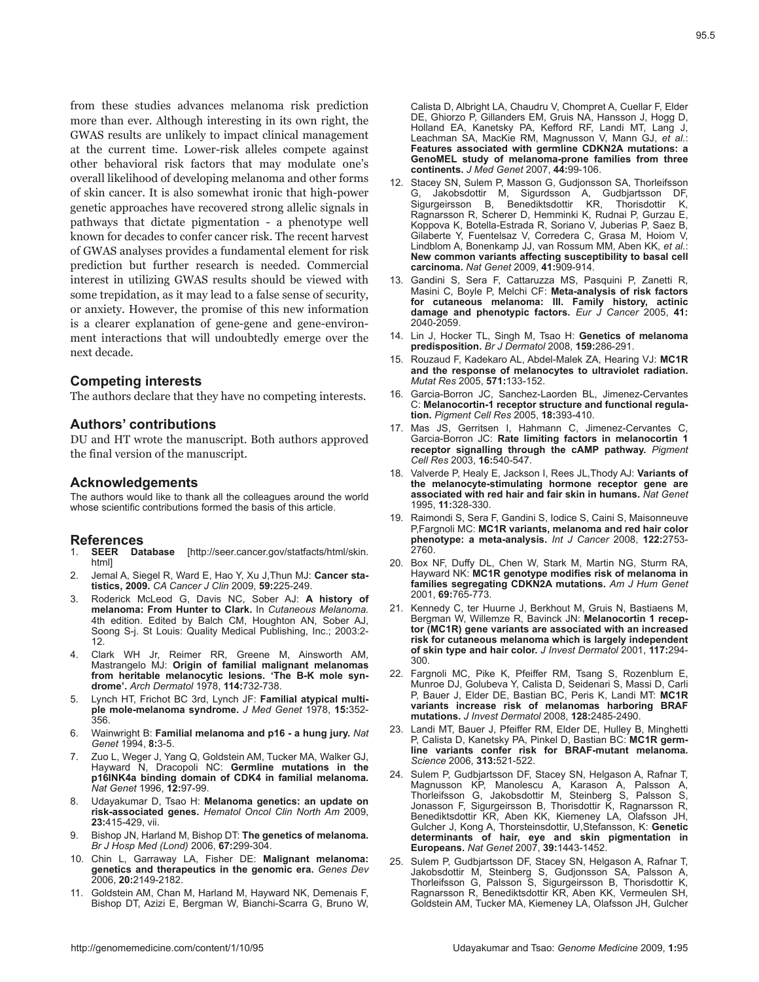from these studies advances melanoma risk prediction more than ever. Although interesting in its own right, the GWAS results are unlikely to impact clinical management at the current time. Lower-risk alleles compete against other behavioral risk factors that may modulate one's overall likelihood of developing melanoma and other forms of skin cancer. It is also somewhat ironic that high-power genetic approaches have recovered strong allelic signals in pathways that dictate pigmentation - a phenotype well known for decades to confer cancer risk. The recent harvest of GWAS analyses provides a fundamental element for risk prediction but further research is needed. Commercial interest in utilizing GWAS results should be viewed with some trepidation, as it may lead to a false sense of security, or anxiety. However, the promise of this new information is a clearer explanation of gene-gene and gene-environment interactions that will undoubtedly emerge over the next decade.

## **Competing interests**

The authors declare that they have no competing interests.

## **Authors' contributions**

DU and HT wrote the manuscript. Both authors approved the final version of the manuscript.

#### **Acknowledgements**

The authors would like to thank all the colleagues around the world whose scientific contributions formed the basis of this article.

# **References**<br>1. **SEER** Da

- SEER Database [http://seer.cancer.gov/statfacts/html/skin. html]
- 2. Jemal A, Siegel R, Ward E, Hao Y, Xu J,Thun MJ: **Cancer statistics, 2009.** *CA Cancer J Clin* 2009, **59:**225-249.
- 3. Roderick McLeod G, Davis NC, Sober AJ: **A history of melanoma: From Hunter to Clark.** In *Cutaneous Melanoma.*  4th edition. Edited by Balch CM, Houghton AN, Sober AJ, Soong S-j. St Louis: Quality Medical Publishing, Inc.; 2003:2- 12.
- 4. Clark WH Jr, Reimer RR, Greene M, Ainsworth AM, Mastrangelo MJ: **Origin of familial malignant melanomas from heritable melanocytic lesions. 'The B-K mole syndrome'.** *Arch Dermatol* 1978, **114:**732-738.
- 5. Lynch HT, Frichot BC 3rd, Lynch JF: **Familial atypical multiple mole-melanoma syndrome.** *J Med Genet* 1978, **15:**352- 356.
- 6. Wainwright B: **Familial melanoma and p16 a hung jury.** *Nat Genet* 1994, **8:**3-5.
- 7. Zuo L, Weger J, Yang Q, Goldstein AM, Tucker MA, Walker GJ, Hayward N, Dracopoli NC: **Germline mutations in the p16INK4a binding domain of CDK4 in familial melanoma.** *Nat Genet* 1996, **12:**97-99.
- 8. Udayakumar D, Tsao H: **Melanoma genetics: an update on risk-associated genes.** *Hematol Oncol Clin North Am* 2009, **23:**415-429, vii.
- 9. Bishop JN, Harland M, Bishop DT: **The genetics of melanoma.** *Br J Hosp Med (Lond)* 2006, **67:**299-304.
- 10. Chin L, Garraway LA, Fisher DE: **Malignant melanoma: genetics and therapeutics in the genomic era.** *Genes Dev* 2006, **20:**2149-2182.
- 11. Goldstein AM, Chan M, Harland M, Hayward NK, Demenais F, Bishop DT, Azizi E, Bergman W, Bianchi-Scarra G, Bruno W,

Calista D, Albright LA, Chaudru V, Chompret A, Cuellar F, Elder DE, Ghiorzo P, Gillanders EM, Gruis NA, Hansson J, Hogg D, Holland EA, Kanetsky PA, Kefford RF, Landi MT, Lang J, Leachman SA, MacKie RM, Magnusson V, Mann GJ, *et al.*: **Features associated with germline CDKN2A mutations: a GenoMEL study of melanoma-prone families from three continents.** *J Med Genet* 2007, **44:**99-106.

- 12. Stacey SN, Sulem P, Masson G, Gudjonsson SA, Thorleifsson G, Jakobsdottir M, Sigurdsson A, Gudbjartsson DF, Sigurgeirsson B, Benediktsdottir KR, Thorisdottir K, Ragnarsson R, Scherer D, Hemminki K, Rudnai P, Gurzau E, Koppova K, Botella-Estrada R, Soriano V, Juberias P, Saez B, Gilaberte Y, Fuentelsaz V, Corredera C, Grasa M, Hoiom V, Lindblom A, Bonenkamp JJ, van Rossum MM, Aben KK, *et al.*: **New common variants affecting susceptibility to basal cell carcinoma.** *Nat Genet* 2009, **41:**909-914.
- 13. Gandini S, Sera F, Cattaruzza MS, Pasquini P, Zanetti R, Masini C, Boyle P, Melchi CF: **Meta-analysis of risk factors for cutaneous melanoma: III. Family history, actinic damage and phenotypic factors.** *Eur J Cancer* 2005, **41:** 2040-2059.
- 14. Lin J, Hocker TL, Singh M, Tsao H: **Genetics of melanoma predisposition.** *Br J Dermatol* 2008, **159:**286-291.
- 15. Rouzaud F, Kadekaro AL, Abdel-Malek ZA, Hearing VJ: **MC1R and the response of melanocytes to ultraviolet radiation.** *Mutat Res* 2005, **571:**133-152.
- 16. Garcia-Borron JC, Sanchez-Laorden BL, Jimenez-Cervantes C: **Melanocortin-1 receptor structure and functional regulation.** *Pigment Cell Res* 2005, **18:**393-410.
- 17. Mas JS, Gerritsen I, Hahmann C, Jimenez-Cervantes C, Garcia-Borron JC: **Rate limiting factors in melanocortin 1 receptor signalling through the cAMP pathway.** *Pigment Cell Res* 2003, **16:**540-547.
- 18. Valverde P, Healy E, Jackson I, Rees JL,Thody AJ: **Variants of the melanocyte-stimulating hormone receptor gene are associated with red hair and fair skin in humans.** *Nat Genet* 1995, **11:**328-330.
- 19. Raimondi S, Sera F, Gandini S, Iodice S, Caini S, Maisonneuve P,Fargnoli MC: **MC1R variants, melanoma and red hair color phenotype: a meta-analysis.** *Int J Cancer* 2008, **122:**2753- 2760.
- 20. Box NF, Duffy DL, Chen W, Stark M, Martin NG, Sturm RA, Hayward NK: **MC1R genotype modifies risk of melanoma in families segregating CDKN2A mutations.** *Am J Hum Genet* 2001, **69:**765-773.
- 21. Kennedy C, ter Huurne J, Berkhout M, Gruis N, Bastiaens M, Bergman W, Willemze R, Bavinck JN: **Melanocortin 1 receptor (MC1R) gene variants are associated with an increased risk for cutaneous melanoma which is largely independent of skin type and hair color.** *J Invest Dermatol* 2001, **117:**294- 300.
- 22. Fargnoli MC, Pike K, Pfeiffer RM, Tsang S, Rozenblum E, Munroe DJ, Golubeva Y, Calista D, Seidenari S, Massi D, Carli P, Bauer J, Elder DE, Bastian BC, Peris K, Landi MT: **MC1R variants increase risk of melanomas harboring BRAF mutations.** *J Invest Dermatol* 2008, **128:**2485-2490.
- 23. Landi MT, Bauer J, Pfeiffer RM, Elder DE, Hulley B, Minghetti P, Calista D, Kanetsky PA, Pinkel D, Bastian BC: **MC1R germline variants confer risk for BRAF-mutant melanoma.** *Science* 2006, **313:**521-522.
- 24. Sulem P, Gudbjartsson DF, Stacey SN, Helgason A, Rafnar T, Magnusson KP, Manolescu A, Karason A, Palsson A, Thorleifsson G, Jakobsdottir M, Steinberg S, Palsson S, Jonasson F, Sigurgeirsson B, Thorisdottir K, Ragnarsson R, Benediktsdottir KR, Aben KK, Kiemeney LA, Olafsson JH, Gulcher J, Kong A, Thorsteinsdottir, U,Stefansson, K: **Genetic determinants of hair, eye and skin pigmentation in Europeans.** *Nat Genet* 2007, **39:**1443-1452.
- 25. Sulem P, Gudbjartsson DF, Stacey SN, Helgason A, Rafnar T, Jakobsdottir M, Steinberg S, Gudjonsson SA, Palsson A, Thorleifsson G, Palsson S, Sigurgeirsson B, Thorisdottir K, Ragnarsson R, Benediktsdottir KR, Aben KK, Vermeulen SH, Goldstein AM, Tucker MA, Kiemeney LA, Olafsson JH, Gulcher